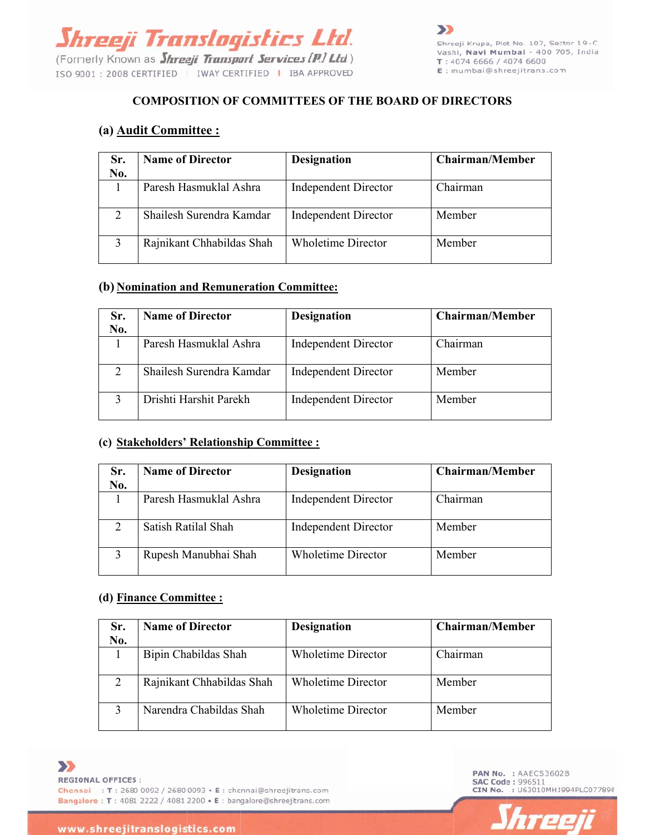

# **C COMPOSI ITION OF COMMIT TTEES OF THE BOA ARD OF DI IRECTORS**

## **(a) <u>Audit Committee :</u>**

| <b>COMPOSITION OF COMMITTEES OF THE BOARD OF DIRECTORS</b><br>(a) <b>Audit Committee:</b> |                           |                             |                        |
|-------------------------------------------------------------------------------------------|---------------------------|-----------------------------|------------------------|
| Sr.<br>No.                                                                                | <b>Name of Director</b>   | <b>Designation</b>          | <b>Chairman/Member</b> |
|                                                                                           | Paresh Hasmuklal Ashra    | <b>Independent Director</b> | Chairman               |
| 2                                                                                         | Shailesh Surendra Kamdar  | <b>Independent Director</b> | Member                 |
| 3                                                                                         | Rajnikant Chhabildas Shah | <b>Wholetime Director</b>   | Member                 |

### (b) **Nomination and Remuneration Committee:**

| Sr.<br>No. | <b>Name of Director</b>  | <b>Designation</b>          | <b>Chairman/Member</b> |
|------------|--------------------------|-----------------------------|------------------------|
|            | Paresh Hasmuklal Ashra   | <b>Independent Director</b> | Chairman               |
| 2          | Shailesh Surendra Kamdar | <b>Independent Director</b> | Member                 |
|            | Drishti Harshit Parekh   | <b>Independent Director</b> | Member                 |

#### (c) **Stakeholders' Relationship Committee :**

| Sr.<br>No.    | <b>Name of Director</b> | <b>Designation</b>          | <b>Chairman/Member</b> |
|---------------|-------------------------|-----------------------------|------------------------|
|               | Paresh Hasmuklal Ashra  | <b>Independent Director</b> | Chairman               |
| $\mathcal{D}$ | Satish Ratilal Shah     | <b>Independent Director</b> | Member                 |
|               | Rupesh Manubhai Shah    | <b>Wholetime Director</b>   | Member                 |

#### **(d) Finance Committee :**

| Sr.<br>No. | <b>Name of Director</b>   | <b>Designation</b>        | <b>Chairman/Member</b> |
|------------|---------------------------|---------------------------|------------------------|
|            | Bipin Chabildas Shah      | <b>Wholetime Director</b> | Chairman               |
|            | Rajnikant Chhabildas Shah | <b>Wholetime Director</b> | Member                 |
|            | Narendra Chabildas Shah   | <b>Wholetime Director</b> | Member                 |



PAN No. : AAECS3602B **SAC Code: 996511** CIN No. : U63010MH1994PLC077890